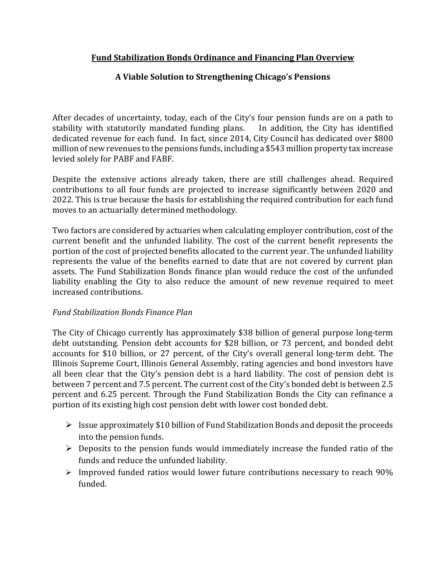# **Fund Stabilization Bonds Ordinance and Financing Plan Overview**

# **A Viable Solution to Strengthening Chicago's Pensions**

After decades of uncertainty, today, each of the City's four pension funds are on a path to stability with statutorily mandated funding plans. In addition, the City has identified dedicated revenue for each fund. In fact, since 2014, City Council has dedicated over \$800 million of new revenues to the pensions funds, including a \$543 million property tax increase levied solely for PABF and FABF.

Despite the extensive actions already taken, there are still challenges ahead. Required contributions to all four funds are projected to increase significantly between 2020 and 2022. This is true because the basis for establishing the required contribution for each fund moves to an actuarially determined methodology.

Two factors are considered by actuaries when calculating employer contribution, cost of the current benefit and the unfunded liability. The cost of the current benefit represents the portion of the cost of projected benefits allocated to the current year. The unfunded liability represents the value of the benefits earned to date that are not covered by current plan assets. The Fund Stabilization Bonds finance plan would reduce the cost of the unfunded liability enabling the City to also reduce the amount of new revenue required to meet increased contributions.

### *Fund Stabilization Bonds Finance Plan*

The City of Chicago currently has approximately \$38 billion of general purpose long-term debt outstanding. Pension debt accounts for \$28 billion, or 73 percent, and bonded debt accounts for \$10 billion, or 27 percent, of the City's overall general long-term debt. The Illinois Supreme Court, Illinois General Assembly, rating agencies and bond investors have all been clear that the City's pension debt is a hard liability. The cost of pension debt is between 7 percent and 7.5 percent. The current cost of the City's bonded debt is between 2.5 percent and 6.25 percent. Through the Fund Stabilization Bonds the City can refinance a portion of its existing high cost pension debt with lower cost bonded debt.

- $\triangleright$  Issue approximately \$10 billion of Fund Stabilization Bonds and deposit the proceeds into the pension funds.
- $\triangleright$  Deposits to the pension funds would immediately increase the funded ratio of the funds and reduce the unfunded liability.
- $\triangleright$  Improved funded ratios would lower future contributions necessary to reach 90% funded.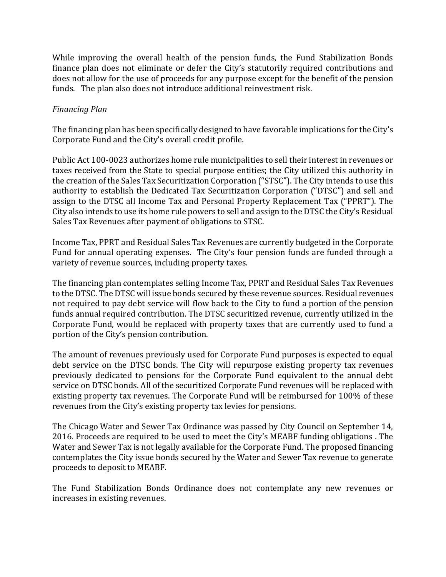While improving the overall health of the pension funds, the Fund Stabilization Bonds finance plan does not eliminate or defer the City's statutorily required contributions and does not allow for the use of proceeds for any purpose except for the benefit of the pension funds. The plan also does not introduce additional reinvestment risk.

## *Financing Plan*

The financing plan has been specifically designed to have favorable implications for the City's Corporate Fund and the City's overall credit profile.

Public Act 100-0023 authorizes home rule municipalities to sell their interest in revenues or taxes received from the State to special purpose entities; the City utilized this authority in the creation of the Sales Tax Securitization Corporation ("STSC"). The City intends to use this authority to establish the Dedicated Tax Securitization Corporation ("DTSC") and sell and assign to the DTSC all Income Tax and Personal Property Replacement Tax ("PPRT"). The City also intends to use its home rule powers to sell and assign to the DTSC the City's Residual Sales Tax Revenues after payment of obligations to STSC.

Income Tax, PPRT and Residual Sales Tax Revenues are currently budgeted in the Corporate Fund for annual operating expenses. The City's four pension funds are funded through a variety of revenue sources, including property taxes.

The financing plan contemplates selling Income Tax, PPRT and Residual Sales Tax Revenues to the DTSC. The DTSC will issue bonds secured by these revenue sources. Residual revenues not required to pay debt service will flow back to the City to fund a portion of the pension funds annual required contribution. The DTSC securitized revenue, currently utilized in the Corporate Fund, would be replaced with property taxes that are currently used to fund a portion of the City's pension contribution.

The amount of revenues previously used for Corporate Fund purposes is expected to equal debt service on the DTSC bonds. The City will repurpose existing property tax revenues previously dedicated to pensions for the Corporate Fund equivalent to the annual debt service on DTSC bonds. All of the securitized Corporate Fund revenues will be replaced with existing property tax revenues. The Corporate Fund will be reimbursed for 100% of these revenues from the City's existing property tax levies for pensions.

The Chicago Water and Sewer Tax Ordinance was passed by City Council on September 14, 2016. Proceeds are required to be used to meet the City's MEABF funding obligations. The Water and Sewer Tax is not legally available for the Corporate Fund. The proposed financing contemplates the City issue bonds secured by the Water and Sewer Tax revenue to generate proceeds to deposit to MEABF.

The Fund Stabilization Bonds Ordinance does not contemplate any new revenues or increases in existing revenues.